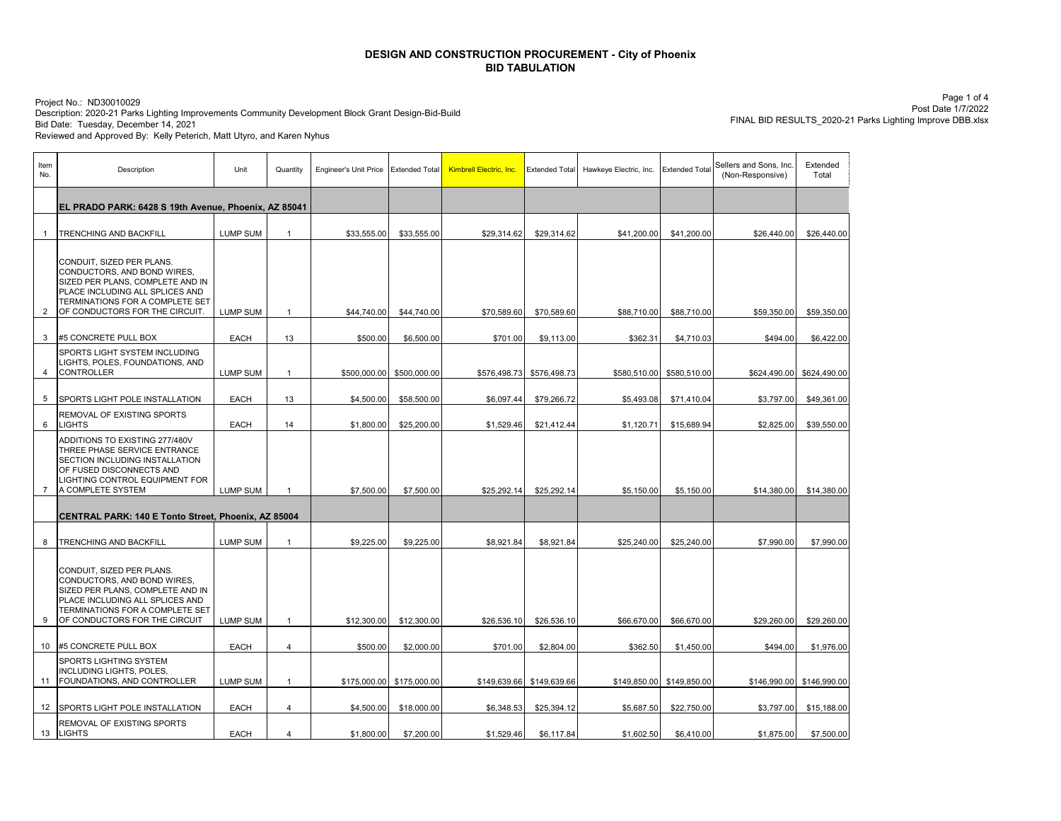Description: 2020-21 Parks Lighting Improvements Community Development Block Grant Design-Bid-Build Project No.: ND30010029 Bid Date: Tuesday, December 14, 2021 Reviewed and Approved By: Kelly Peterich, Matt Utyro, and Karen Nyhus

Page 1 of 4 Post Date 1/7/2022 FINAL BID RESULTS\_2020-21 Parks Lighting Improve DBB.xlsx

| Item<br>No.    | Description                                                                                                                                                                                          | Unit            | Quantity       | Engineer's Unit Price | <b>Extended Total</b> | Kimbrell Electric, Inc. | <b>Extended Total</b>     | Hawkeye Electric, Inc. | <b>Extended Total</b>     | Sellers and Sons, Inc.<br>(Non-Responsive) | Extended<br>Total |
|----------------|------------------------------------------------------------------------------------------------------------------------------------------------------------------------------------------------------|-----------------|----------------|-----------------------|-----------------------|-------------------------|---------------------------|------------------------|---------------------------|--------------------------------------------|-------------------|
|                | EL PRADO PARK: 6428 S 19th Avenue, Phoenix, AZ 85041                                                                                                                                                 |                 |                |                       |                       |                         |                           |                        |                           |                                            |                   |
| $\overline{1}$ | TRENCHING AND BACKFILL                                                                                                                                                                               | <b>LUMP SUM</b> | $\mathbf{1}$   | \$33,555.00           | \$33,555.00           | \$29,314.62             | \$29,314.62               | \$41,200.00            | \$41,200.00               | \$26,440.00                                | \$26,440.00       |
| 2              | CONDUIT, SIZED PER PLANS.<br>CONDUCTORS, AND BOND WIRES,<br>SIZED PER PLANS, COMPLETE AND IN<br>PLACE INCLUDING ALL SPLICES AND<br>TERMINATIONS FOR A COMPLETE SET<br>OF CONDUCTORS FOR THE CIRCUIT. | <b>LUMP SUM</b> | $\mathbf{1}$   | \$44,740.00           | \$44,740.00           | \$70,589.60             | \$70,589.60               | \$88,710.00            | \$88,710.00               | \$59,350.00                                | \$59,350.00       |
| 3              | #5 CONCRETE PULL BOX                                                                                                                                                                                 | EACH            | 13             | \$500.00              | \$6,500.00            | \$701.00                | \$9,113.00                | \$362.31               | \$4,710.03                | \$494.00                                   | \$6,422.00        |
| 4              | SPORTS LIGHT SYSTEM INCLUDING<br>LIGHTS, POLES, FOUNDATIONS, AND<br><b>CONTROLLER</b>                                                                                                                | <b>LUMP SUM</b> | $\mathbf{1}$   | \$500,000.00          | \$500,000.00          | \$576,498.73            | \$576,498.73              | \$580,510.00           | \$580,510.00              | \$624,490.00                               | \$624,490.00      |
| 5              | SPORTS LIGHT POLE INSTALLATION                                                                                                                                                                       | <b>EACH</b>     | 13             | \$4,500.00            | \$58,500.00           | \$6,097.44              | \$79,266.72               | \$5,493.08             | \$71,410.04               | \$3,797.00                                 | \$49,361.00       |
| 6              | REMOVAL OF EXISTING SPORTS<br><b>LIGHTS</b>                                                                                                                                                          | <b>EACH</b>     | 14             | \$1,800.00            | \$25,200.00           | \$1,529.46              | \$21,412.44               | \$1,120.71             | \$15,689.94               | \$2,825.00                                 | \$39,550.00       |
| $\overline{7}$ | ADDITIONS TO EXISTING 277/480V<br>THREE PHASE SERVICE ENTRANCE<br>SECTION INCLUDING INSTALLATION<br>OF FUSED DISCONNECTS AND<br>LIGHTING CONTROL EQUIPMENT FOR<br>A COMPLETE SYSTEM                  | <b>LUMP SUM</b> | $\mathbf{1}$   | \$7,500.00            | \$7,500.00            | \$25,292.14             | \$25,292.14               | \$5,150.00             | \$5,150.00                | \$14,380.00                                | \$14,380.00       |
|                | CENTRAL PARK: 140 E Tonto Street, Phoenix, AZ 85004                                                                                                                                                  |                 |                |                       |                       |                         |                           |                        |                           |                                            |                   |
| 8              | <b>TRENCHING AND BACKFILL</b>                                                                                                                                                                        | <b>LUMP SUM</b> | $\mathbf{1}$   | \$9,225.00            | \$9,225.00            | \$8,921.84              | \$8,921.84                | \$25,240.00            | \$25,240.00               | \$7,990.00                                 | \$7,990.00        |
| 9              | CONDUIT, SIZED PER PLANS.<br>CONDUCTORS, AND BOND WIRES,<br>SIZED PER PLANS, COMPLETE AND IN<br>PLACE INCLUDING ALL SPLICES AND<br>TERMINATIONS FOR A COMPLETE SET<br>OF CONDUCTORS FOR THE CIRCUIT  | <b>LUMP SUM</b> | $\mathbf{1}$   | \$12,300.00           | \$12,300.00           | \$26,536.10             | \$26,536.10               | \$66,670.00            | \$66,670.00               | \$29,260.00                                | \$29,260.00       |
|                | 10 #5 CONCRETE PULL BOX                                                                                                                                                                              | <b>EACH</b>     | $\overline{4}$ | \$500.00              | \$2,000.00            | \$701.00                | \$2,804.00                | \$362.50               | \$1,450.00                | \$494.00                                   | \$1,976.00        |
| 11             | SPORTS LIGHTING SYSTEM<br>INCLUDING LIGHTS, POLES,<br>FOUNDATIONS, AND CONTROLLER                                                                                                                    | <b>LUMP SUM</b> | $\mathbf{1}$   | \$175,000.00          | \$175,000.00          |                         | \$149,639.66 \$149,639.66 |                        | \$149,850.00 \$149,850.00 | \$146,990.00                               | \$146,990.00      |
| 12             | SPORTS LIGHT POLE INSTALLATION                                                                                                                                                                       | EACH            | 4              | \$4,500.00            | \$18,000.00           | \$6,348.53              | \$25,394.12               | \$5,687.50             | \$22,750.00               | \$3,797.00                                 | \$15,188.00       |
| 13             | REMOVAL OF EXISTING SPORTS<br><b>LIGHTS</b>                                                                                                                                                          | <b>EACH</b>     | 4              | \$1,800.00            | \$7,200.00            | \$1,529.46              | \$6,117.84                | \$1,602.50             | \$6,410.00                | \$1,875.00                                 | \$7,500.00        |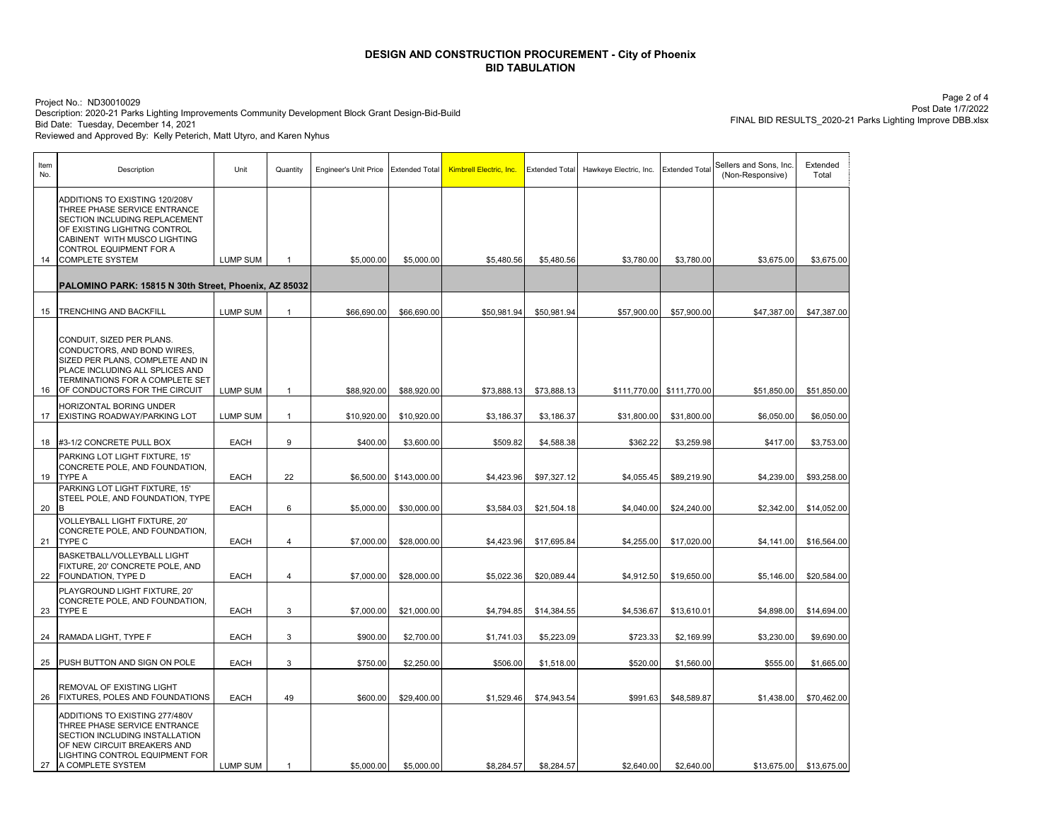Description: 2020-21 Parks Lighting Improvements Community Development Block Grant Design-Bid-Build Project No.: ND30010029 Bid Date: Tuesday, December 14, 2021 Reviewed and Approved By: Kelly Peterich, Matt Utyro, and Karen Nyhus

Page 2 of 4 Post Date 1/7/2022 FINAL BID RESULTS\_2020-21 Parks Lighting Improve DBB.xlsx

| Item<br>No. | Description                                                                                                                                                                                                          | Unit            | Quantity       | Engineer's Unit Price | <b>Extended Total</b>   | Kimbrell Electric, Inc. | <b>Extended Total</b> | Hawkeye Electric, Inc. | <b>Extended Total</b>     | Sellers and Sons, Inc.<br>(Non-Responsive) | Extended<br>Total |
|-------------|----------------------------------------------------------------------------------------------------------------------------------------------------------------------------------------------------------------------|-----------------|----------------|-----------------------|-------------------------|-------------------------|-----------------------|------------------------|---------------------------|--------------------------------------------|-------------------|
| 14          | ADDITIONS TO EXISTING 120/208V<br>THREE PHASE SERVICE ENTRANCE<br>SECTION INCLUDING REPLACEMENT<br>OF EXISTING LIGHITNG CONTROL<br>CABINENT WITH MUSCO LIGHTING<br>CONTROL EQUIPMENT FOR A<br><b>COMPLETE SYSTEM</b> | <b>LUMP SUM</b> | $\overline{1}$ | \$5,000.00            | \$5,000.00              | \$5,480.56              | \$5,480.56            | \$3,780.00             | \$3,780.00                | \$3,675.00                                 | \$3,675.00        |
|             |                                                                                                                                                                                                                      |                 |                |                       |                         |                         |                       |                        |                           |                                            |                   |
|             | PALOMINO PARK: 15815 N 30th Street, Phoenix, AZ 85032                                                                                                                                                                |                 |                |                       |                         |                         |                       |                        |                           |                                            |                   |
|             |                                                                                                                                                                                                                      |                 |                |                       |                         |                         |                       |                        |                           |                                            |                   |
| 15          | TRENCHING AND BACKFILL                                                                                                                                                                                               | <b>LUMP SUM</b> | $\mathbf{1}$   | \$66,690.00           | \$66,690.00             | \$50,981.94             | \$50,981.94           | \$57,900.00            | \$57,900.00               | \$47,387.00                                | \$47,387.00       |
| 16          | CONDUIT, SIZED PER PLANS.<br>CONDUCTORS, AND BOND WIRES.<br>SIZED PER PLANS, COMPLETE AND IN<br>PLACE INCLUDING ALL SPLICES AND<br>TERMINATIONS FOR A COMPLETE SET<br>OF CONDUCTORS FOR THE CIRCUIT                  | <b>LUMP SUM</b> | $\overline{1}$ | \$88,920.00           | \$88,920.00             | \$73,888.13             | \$73,888.13           |                        | \$111,770.00 \$111,770.00 | \$51,850.00                                | \$51,850.00       |
|             | HORIZONTAL BORING UNDER                                                                                                                                                                                              |                 |                |                       |                         |                         |                       |                        |                           |                                            |                   |
| 17          | EXISTING ROADWAY/PARKING LOT                                                                                                                                                                                         | <b>LUMP SUM</b> | $\mathbf{1}$   | \$10,920.00           | \$10,920.00             | \$3,186.37              | \$3,186.37            | \$31,800.00            | \$31,800.00               | \$6,050.00                                 | \$6,050.00        |
|             |                                                                                                                                                                                                                      |                 |                |                       |                         |                         |                       |                        |                           |                                            |                   |
| 18          | #3-1/2 CONCRETE PULL BOX                                                                                                                                                                                             | <b>EACH</b>     | 9              | \$400.00              | \$3,600.00              | \$509.82                | \$4,588.38            | \$362.22               | \$3,259.98                | \$417.00                                   | \$3,753.00        |
| 19          | PARKING LOT LIGHT FIXTURE. 15'<br>CONCRETE POLE, AND FOUNDATION,<br><b>TYPE A</b>                                                                                                                                    | <b>EACH</b>     | 22             |                       | \$6,500.00 \$143,000.00 | \$4,423.96              | \$97,327.12           | \$4,055.45             | \$89,219.90               | \$4,239.00                                 | \$93,258.00       |
| 20          | PARKING LOT LIGHT FIXTURE, 15'<br>STEEL POLE, AND FOUNDATION, TYPE<br>R.                                                                                                                                             | <b>EACH</b>     | 6              | \$5,000.00            | \$30,000.00             | \$3,584.03              | \$21,504.18           | \$4,040.00             | \$24,240.00               | \$2,342.00                                 | \$14,052.00       |
| 21          | VOLLEYBALL LIGHT FIXTURE, 20'<br>CONCRETE POLE, AND FOUNDATION,<br>TYPE C                                                                                                                                            | <b>EACH</b>     | 4              | \$7,000.00            | \$28,000.00             | \$4,423.96              | \$17,695.84           | \$4,255.00             | \$17,020.00               | \$4,141.00                                 | \$16,564.00       |
| 22          | BASKETBALL/VOLLEYBALL LIGHT<br>FIXTURE, 20' CONCRETE POLE, AND<br>FOUNDATION, TYPE D                                                                                                                                 | <b>EACH</b>     | 4              | \$7,000.00            | \$28,000.00             | \$5,022.36              | \$20,089.44           | \$4,912.50             | \$19,650.00               | \$5,146.00                                 | \$20,584.00       |
| 23          | PLAYGROUND LIGHT FIXTURE, 20'<br>CONCRETE POLE, AND FOUNDATION,<br>TYPE E                                                                                                                                            | <b>EACH</b>     | 3              | \$7,000.00            | \$21,000.00             | \$4,794.85              | \$14,384.55           | \$4,536.67             | \$13,610.01               | \$4,898.00                                 | \$14,694.00       |
|             |                                                                                                                                                                                                                      |                 |                |                       |                         |                         |                       |                        |                           |                                            |                   |
| 24          | RAMADA LIGHT, TYPE F                                                                                                                                                                                                 | <b>EACH</b>     | 3              | \$900.00              | \$2,700.00              | \$1,741.03              | \$5,223.09            | \$723.33               | \$2,169.99                | \$3,230.00                                 | \$9,690.00        |
| 25          | PUSH BUTTON AND SIGN ON POLE                                                                                                                                                                                         | <b>EACH</b>     | 3              | \$750.00              | \$2,250.00              | \$506.00                | \$1,518.00            | \$520.00               | \$1,560.00                | \$555.00                                   | \$1,665.00        |
| 26          | REMOVAL OF EXISTING LIGHT<br><b>FIXTURES, POLES AND FOUNDATIONS</b>                                                                                                                                                  | <b>EACH</b>     | 49             | \$600.00              | \$29,400.00             | \$1,529.46              | \$74,943.54           | \$991.63               | \$48,589.87               | \$1,438.00                                 | \$70,462.00       |
| 27          | ADDITIONS TO EXISTING 277/480V<br>THREE PHASE SERVICE ENTRANCE<br>SECTION INCLUDING INSTALLATION<br>OF NEW CIRCUIT BREAKERS AND<br>LIGHTING CONTROL EQUIPMENT FOR<br>A COMPLETE SYSTEM                               | <b>LUMP SUM</b> | $\overline{1}$ | \$5,000.00            | \$5,000.00              | \$8,284.57              | \$8,284.57            | \$2,640.00             | \$2,640.00                | \$13,675.00                                | \$13,675.00       |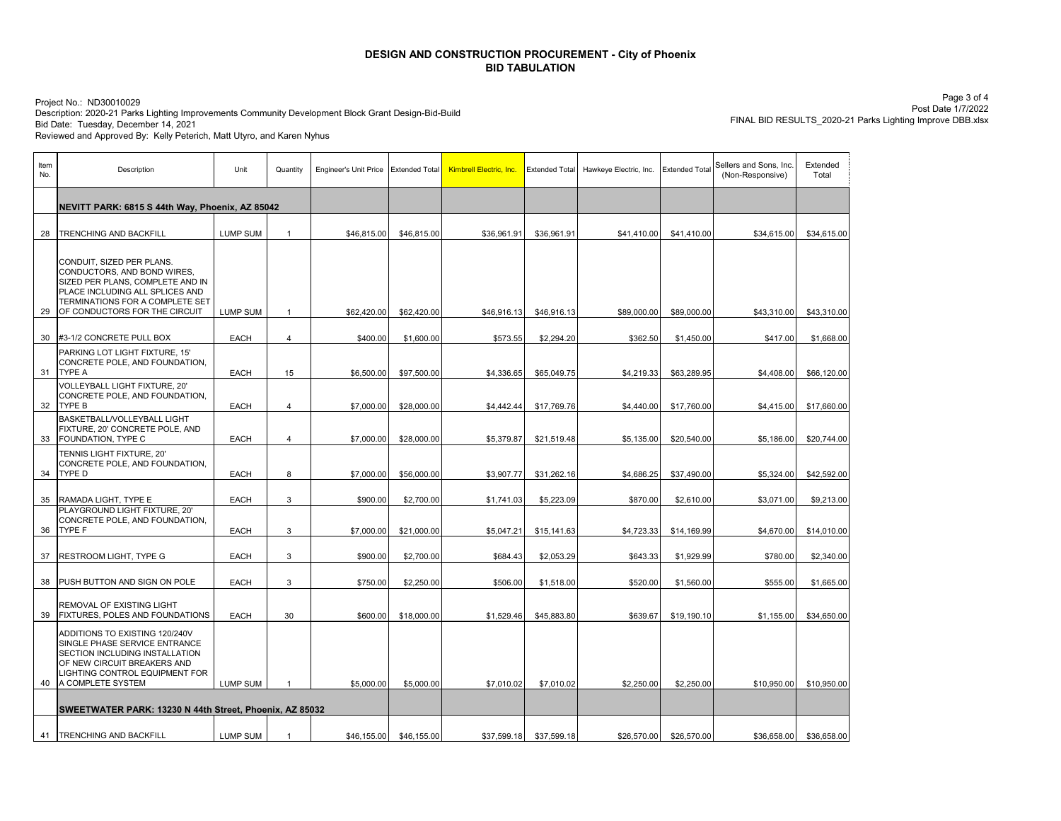Description: 2020-21 Parks Lighting Improvements Community Development Block Grant Design-Bid-Build Project No.: ND30010029 Bid Date: Tuesday, December 14, 2021 Reviewed and Approved By: Kelly Peterich, Matt Utyro, and Karen Nyhus

Page 3 of 4 Post Date 1/7/2022 FINAL BID RESULTS\_2020-21 Parks Lighting Improve DBB.xlsx

| Item<br>No. | Description                                                                                                                                                                                         | Unit                       | Quantity                       | Engineer's Unit Price Extended Total |                           | <b>Kimbrell Electric, Inc.</b> | <b>Extended Total</b>     | Hawkeye Electric, Inc. | <b>Extended Total</b>     | Sellers and Sons, Inc.<br>(Non-Responsive) | Extended<br>Total         |
|-------------|-----------------------------------------------------------------------------------------------------------------------------------------------------------------------------------------------------|----------------------------|--------------------------------|--------------------------------------|---------------------------|--------------------------------|---------------------------|------------------------|---------------------------|--------------------------------------------|---------------------------|
|             | NEVITT PARK: 6815 S 44th Way, Phoenix, AZ 85042                                                                                                                                                     |                            |                                |                                      |                           |                                |                           |                        |                           |                                            |                           |
| 28          | TRENCHING AND BACKFILL                                                                                                                                                                              | <b>LUMP SUM</b>            | $\mathbf{1}$                   | \$46,815.00                          | \$46,815.00               | \$36,961.91                    | \$36,961.91               | \$41,410.00            | \$41,410.00               | \$34,615.00                                | \$34,615.00               |
| 29          | CONDUIT, SIZED PER PLANS.<br>CONDUCTORS, AND BOND WIRES,<br>SIZED PER PLANS, COMPLETE AND IN<br>PLACE INCLUDING ALL SPLICES AND<br>TERMINATIONS FOR A COMPLETE SET<br>OF CONDUCTORS FOR THE CIRCUIT | <b>LUMP SUM</b>            | $\mathbf{1}$                   | \$62,420.00                          | \$62,420.00               | \$46,916.13                    | \$46,916.13               | \$89,000.00            | \$89,000.00               | \$43,310.00                                | \$43,310.00               |
| 30          | #3-1/2 CONCRETE PULL BOX                                                                                                                                                                            | <b>EACH</b>                | $\overline{4}$                 | \$400.00                             | \$1,600.00                | \$573.55                       | \$2,294.20                | \$362.50               | \$1,450.00                | \$417.00                                   | \$1,668.00                |
| 31          | PARKING LOT LIGHT FIXTURE. 15'<br>CONCRETE POLE, AND FOUNDATION,<br><b>TYPE A</b>                                                                                                                   | EACH                       | 15                             | \$6,500.00                           | \$97,500.00               | \$4,336.65                     | \$65,049.75               | \$4,219.33             | \$63,289.95               | \$4,408.00                                 | \$66,120.00               |
|             | <b>VOLLEYBALL LIGHT FIXTURE, 20'</b><br>CONCRETE POLE, AND FOUNDATION,<br>32 TYPE B                                                                                                                 | <b>EACH</b>                | $\overline{4}$                 | \$7,000.00                           | \$28,000.00               | \$4,442.44                     | \$17,769.76               | \$4,440.00             | \$17,760.00               | \$4,415.00                                 | \$17,660.00               |
| 33          | BASKETBALL/VOLLEYBALL LIGHT<br>FIXTURE, 20' CONCRETE POLE, AND<br>FOUNDATION, TYPE C                                                                                                                | <b>EACH</b>                | $\overline{4}$                 | \$7,000.00                           | \$28,000.00               | \$5,379.87                     | \$21,519.48               | \$5,135.00             | \$20,540.00               | \$5,186.00                                 | \$20,744.00               |
| 34          | TENNIS LIGHT FIXTURE, 20'<br>CONCRETE POLE, AND FOUNDATION,<br><b>TYPE D</b>                                                                                                                        | <b>EACH</b>                | 8                              | \$7,000.00                           | \$56,000.00               | \$3,907.77                     | \$31,262.16               | \$4,686.25             | \$37,490.00               | \$5,324.00                                 | \$42,592.00               |
|             |                                                                                                                                                                                                     |                            |                                |                                      |                           |                                |                           |                        |                           |                                            |                           |
| 35<br>36    | RAMADA LIGHT, TYPE E<br>PLAYGROUND LIGHT FIXTURE, 20'<br>CONCRETE POLE, AND FOUNDATION,<br><b>TYPE F</b>                                                                                            | <b>EACH</b><br><b>EACH</b> | $\ensuremath{\mathsf{3}}$<br>3 | \$900.00<br>\$7,000.00               | \$2,700.00<br>\$21,000.00 | \$1,741.03<br>\$5,047.21       | \$5,223.09<br>\$15,141.63 | \$870.00<br>\$4,723.33 | \$2,610.00<br>\$14,169.99 | \$3,071.00<br>\$4,670.00                   | \$9,213.00<br>\$14,010.00 |
| 37          | RESTROOM LIGHT, TYPE G                                                                                                                                                                              | <b>EACH</b>                | 3                              | \$900.00                             | \$2,700.00                | \$684.43                       | \$2,053.29                | \$643.33               | \$1,929.99                | \$780.00                                   | \$2,340.00                |
| 38          | PUSH BUTTON AND SIGN ON POLE                                                                                                                                                                        | <b>EACH</b>                | 3                              | \$750.00                             | \$2,250.00                | \$506.00                       | \$1,518.00                | \$520.00               | \$1,560.00                | \$555.00                                   | \$1,665.00                |
| 39          | REMOVAL OF EXISTING LIGHT<br>FIXTURES, POLES AND FOUNDATIONS                                                                                                                                        | <b>EACH</b>                | 30                             | \$600.00                             | \$18,000.00               | \$1,529.46                     | \$45,883.80               | \$639.67               | \$19,190.10               | \$1,155.00                                 | \$34,650.00               |
| 40          | ADDITIONS TO EXISTING 120/240V<br>SINGLE PHASE SERVICE ENTRANCE<br>SECTION INCLUDING INSTALLATION<br>OF NEW CIRCUIT BREAKERS AND<br>LIGHTING CONTROL EQUIPMENT FOR<br>A COMPLETE SYSTEM             | LUMP SUM                   | $\overline{1}$                 | \$5,000.00                           | \$5,000.00                | \$7,010.02                     | \$7,010.02                | \$2,250.00             | \$2,250.00                | \$10,950.00                                | \$10,950.00               |
|             |                                                                                                                                                                                                     |                            |                                |                                      |                           |                                |                           |                        |                           |                                            |                           |
|             | SWEETWATER PARK: 13230 N 44th Street, Phoenix, AZ 85032                                                                                                                                             |                            |                                |                                      |                           |                                |                           |                        |                           |                                            |                           |
|             | 41   TRENCHING AND BACKFILL                                                                                                                                                                         | <b>LUMP SUM</b>            | $\mathbf{1}$                   | \$46,155.00                          | \$46,155.00               | \$37,599.18                    | \$37,599.18               | \$26,570.00            | \$26,570.00               | \$36,658.00                                | \$36,658.00               |